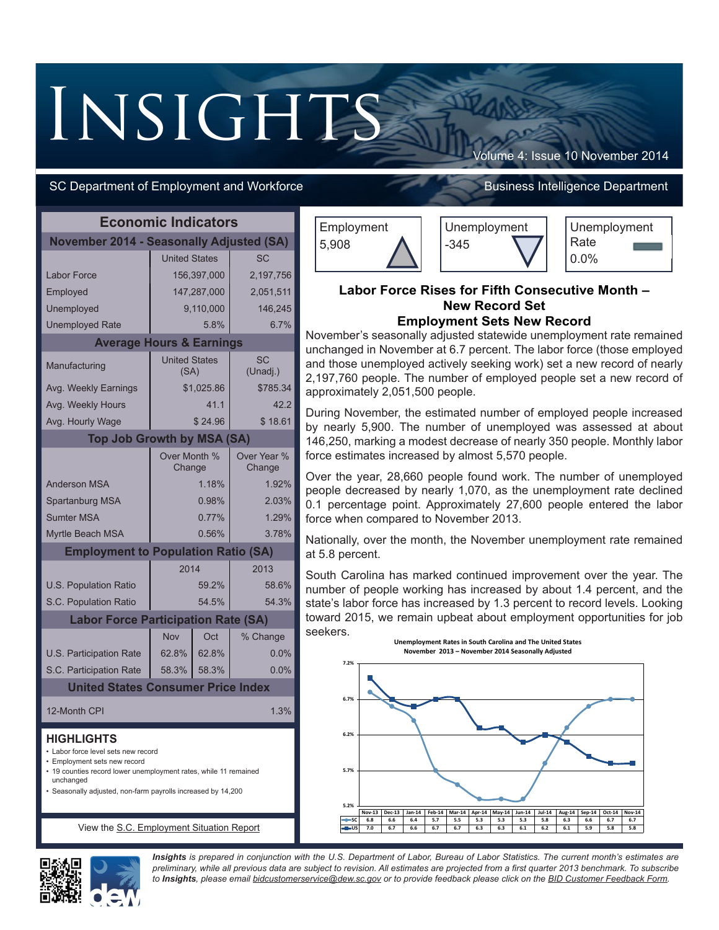# **INSIGHTS**

# SC Department of Employment and Workforce **Business Intelligence Department**

Volume 4: Issue 10 November 2014

| <b>Economic Indicators</b>                                                                                                                                                                                                                |                              |                |                       |  |
|-------------------------------------------------------------------------------------------------------------------------------------------------------------------------------------------------------------------------------------------|------------------------------|----------------|-----------------------|--|
| <b>November 2014 - Seasonally Adjusted (SA)</b>                                                                                                                                                                                           |                              |                |                       |  |
|                                                                                                                                                                                                                                           | <b>United States</b>         |                | SC                    |  |
| <b>Labor Force</b>                                                                                                                                                                                                                        |                              | 156,397,000    | 2,197,756             |  |
| Employed                                                                                                                                                                                                                                  |                              | 147,287,000    | 2,051,511             |  |
| Unemployed                                                                                                                                                                                                                                |                              | 9,110,000      | 146,245               |  |
| <b>Unemployed Rate</b>                                                                                                                                                                                                                    |                              | 5.8%           | 6.7%                  |  |
| <b>Average Hours &amp; Earnings</b>                                                                                                                                                                                                       |                              |                |                       |  |
| Manufacturing                                                                                                                                                                                                                             | <b>United States</b><br>(SA) |                | SC<br>(Unadj.)        |  |
| Avg. Weekly Earnings                                                                                                                                                                                                                      |                              | \$1,025.86     | \$785.34              |  |
| Avg. Weekly Hours                                                                                                                                                                                                                         |                              | 41.1           | 42.2                  |  |
| Avg. Hourly Wage                                                                                                                                                                                                                          |                              | \$24.96        | \$18.61               |  |
| <b>Top Job Growth by MSA (SA)</b>                                                                                                                                                                                                         |                              |                |                       |  |
|                                                                                                                                                                                                                                           | Over Month %<br>Change       |                | Over Year %<br>Change |  |
| <b>Anderson MSA</b>                                                                                                                                                                                                                       |                              | 1.18%          | 1.92%                 |  |
| Spartanburg MSA                                                                                                                                                                                                                           |                              | 0.98%          | 2.03%                 |  |
| <b>Sumter MSA</b>                                                                                                                                                                                                                         |                              | 0.77%          | 1.29%                 |  |
| Myrtle Beach MSA                                                                                                                                                                                                                          | 0.56%<br>3.78%               |                |                       |  |
| <b>Employment to Population Ratio (SA)</b>                                                                                                                                                                                                |                              |                |                       |  |
|                                                                                                                                                                                                                                           | 2014<br>2013                 |                |                       |  |
| U.S. Population Ratio                                                                                                                                                                                                                     |                              | 59.2%          | 58.6%                 |  |
| S.C. Population Ratio                                                                                                                                                                                                                     |                              | 54.5%          | 54.3%                 |  |
| <b>Labor Force Participation Rate (SA)</b>                                                                                                                                                                                                |                              |                |                       |  |
|                                                                                                                                                                                                                                           | Nov                          | Oct            | % Change              |  |
| U.S. Participation Rate                                                                                                                                                                                                                   | 62.8%                        | 62.8%<br>58.3% | 0.0%                  |  |
| S.C. Participation Rate<br><b>United States Consumer Price Index</b>                                                                                                                                                                      | 58.3%                        |                | 0.0%                  |  |
|                                                                                                                                                                                                                                           |                              |                |                       |  |
| 12-Month CPI                                                                                                                                                                                                                              |                              |                | 1.3%                  |  |
| <b>HIGHLIGHTS</b><br>• Labor force level sets new record<br>• Employment sets new record<br>• 19 counties record lower unemployment rates, while 11 remained<br>unchanged<br>· Seasonally adjusted, non-farm payrolls increased by 14,200 |                              |                |                       |  |
| View the S.C. Employment Situation Report                                                                                                                                                                                                 |                              |                |                       |  |

Employment 5,908





## **Labor Force Rises for Fifth Consecutive Month – New Record Set Employment Sets New Record**

November's seasonally adjusted statewide unemployment rate remained unchanged in November at 6.7 percent. The labor force (those employed and those unemployed actively seeking work) set a new record of nearly 2,197,760 people. The number of employed people set a new record of approximately 2,051,500 people.

During November, the estimated number of employed people increased by nearly 5,900. The number of unemployed was assessed at about 146,250, marking a modest decrease of nearly 350 people. Monthly labor force estimates increased by almost 5,570 people.

Over the year, 28,660 people found work. The number of unemployed people decreased by nearly 1,070, as the unemployment rate declined 0.1 percentage point. Approximately 27,600 people entered the labor force when compared to November 2013.

Nationally, over the month, the November unemployment rate remained at 5.8 percent.

South Carolina has marked continued improvement over the year. The number of people working has increased by about 1.4 percent, and the state's labor force has increased by 1.3 percent to record levels. Looking toward 2015, we remain upbeat about employment opportunities for job seekers.





*Insights is prepared in conjunction with the U.S. Department of Labor, Bureau of Labor Statistics. The current month's estimates are preliminary, while all previous data are subject to revision. All estimates are projected from a first quarter 2013 benchmark. To subscribe to Insights, please email [bidcustomerservice@dew.sc.gov](mailto:bidcustomerservice%40dew.sc.gov?subject=Insights%20Subscription%20Request) or to provide feedback please click on the BI[D Customer Feedback Form](https://survey.dew.sc.gov/n/LMIFeedback.aspx).*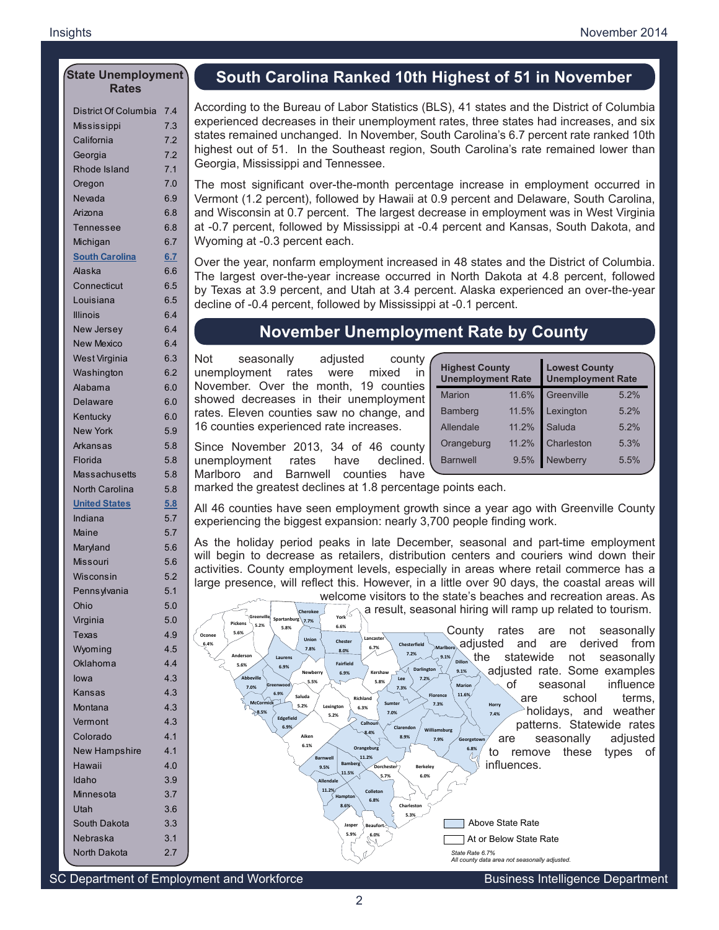#### **State Unemployment Rates**

| District Of Columbia  | 7.4 |
|-----------------------|-----|
| Mississippi           | 7.3 |
| California            | 7.2 |
| Georgia               | 7.2 |
| Rhode Island          | 7.1 |
| Oregon                | 7.0 |
| Nevada                | 6.9 |
| Arizona               | 6.8 |
| Tennessee             | 6.8 |
| Michigan              | 6.7 |
| <b>South Carolina</b> | 6.7 |
| <b>Alaska</b>         | 6.6 |
| Connecticut           | 6.5 |
| Louisiana             | 6.5 |
| <b>Illinois</b>       | 6.4 |
| New Jersey            | 6.4 |
| <b>New Mexico</b>     | 6.4 |
| West Virginia         | 6.3 |
| Washington            | 6.2 |
| Alabama               | 6.0 |
| <b>Delaware</b>       | 6.0 |
| Kentucky              | 6.0 |
| <b>New York</b>       | 5.9 |
| Arkansas              | 5.8 |
| Florida               | 5.8 |
| Massachusetts         | 5.8 |
| <b>North Carolina</b> | 5.8 |
| <b>United States</b>  | 5.8 |
| Indiana               | 5.7 |
| Maine                 | 5.7 |
| Maryland              | 5.6 |
| <b>Missouri</b>       | 5.6 |
| Wisconsin             | 5.2 |
| Pennsylvania          | 5.1 |
| Ohio                  | 5.0 |
| Virginia              | 5.0 |
| Texas                 | 4.9 |
| Wyoming               | 4.5 |
| Oklahoma              | 4.4 |
| lowa                  | 4.3 |
| Kansas                | 4.3 |
| Montana               | 4.3 |
| Vermont               | 4.3 |
| Colorado              | 4.1 |
| <b>New Hampshire</b>  | 4.1 |
| Hawaii                | 4.0 |
| Idaho                 | 3.9 |
| Minnesota             | 3.7 |
| Utah                  | 3.6 |
| South Dakota          | 3.3 |
| Nebraska              | 3.1 |
| North Dakota          | 2.7 |

# **South Carolina Ranked 10th Highest of 51 in November**

According to the Bureau of Labor Statistics (BLS), 41 states and the District of Columbia experienced decreases in their unemployment rates, three states had increases, and six states remained unchanged. In November, South Carolina's 6.7 percent rate ranked 10th highest out of 51. In the Southeast region, South Carolina's rate remained lower than Georgia, Mississippi and Tennessee.

The most significant over-the-month percentage increase in employment occurred in Vermont (1.2 percent), followed by Hawaii at 0.9 percent and Delaware, South Carolina, and Wisconsin at 0.7 percent. The largest decrease in employment was in West Virginia at -0.7 percent, followed by Mississippi at -0.4 percent and Kansas, South Dakota, and Wyoming at -0.3 percent each.

Over the year, nonfarm employment increased in 48 states and the District of Columbia. The largest over-the-year increase occurred in North Dakota at 4.8 percent, followed by Texas at 3.9 percent, and Utah at 3.4 percent. Alaska experienced an over-the-year decline of -0.4 percent, followed by Mississippi at -0.1 percent.

# **November Unemployment Rate by County**

Not seasonally adjusted county unemployment rates were mixed in November. Over the month, 19 counties showed decreases in their unemployment rates. Eleven counties saw no change, and 16 counties experienced rate increases.

| <b>Highest County</b><br><b>Unemployment Rate</b> |       | <b>Lowest County</b><br><b>Unemployment Rate</b> |      |  |
|---------------------------------------------------|-------|--------------------------------------------------|------|--|
| <b>Marion</b>                                     | 11.6% | Greenville                                       | 5.2% |  |
| <b>Bamberg</b>                                    | 11.5% | Lexington                                        | 5.2% |  |
| Allendale                                         | 11.2% | Saluda                                           | 5.2% |  |
| Orangeburg                                        | 11.2% | Charleston                                       | 5.3% |  |
| <b>Barnwell</b>                                   | 9.5%  | Newberry                                         | 5.5% |  |
|                                                   |       |                                                  |      |  |

Since November 2013, 34 of 46 county unemployment rates have declined. Marlboro and Barnwell counties have

marked the greatest declines at 1.8 percentage points each.

All 46 counties have seen employment growth since a year ago with Greenville County experiencing the biggest expansion: nearly 3,700 people finding work.

As the holiday period peaks in late December, seasonal and part-time employment will begin to decrease as retailers, distribution centers and couriers wind down their activities. County employment levels, especially in areas where retail commerce has a large presence, will reflect this. However, in a little over 90 days, the coastal areas will



SC Department of Employment and Workforce **Business Intelligence Department**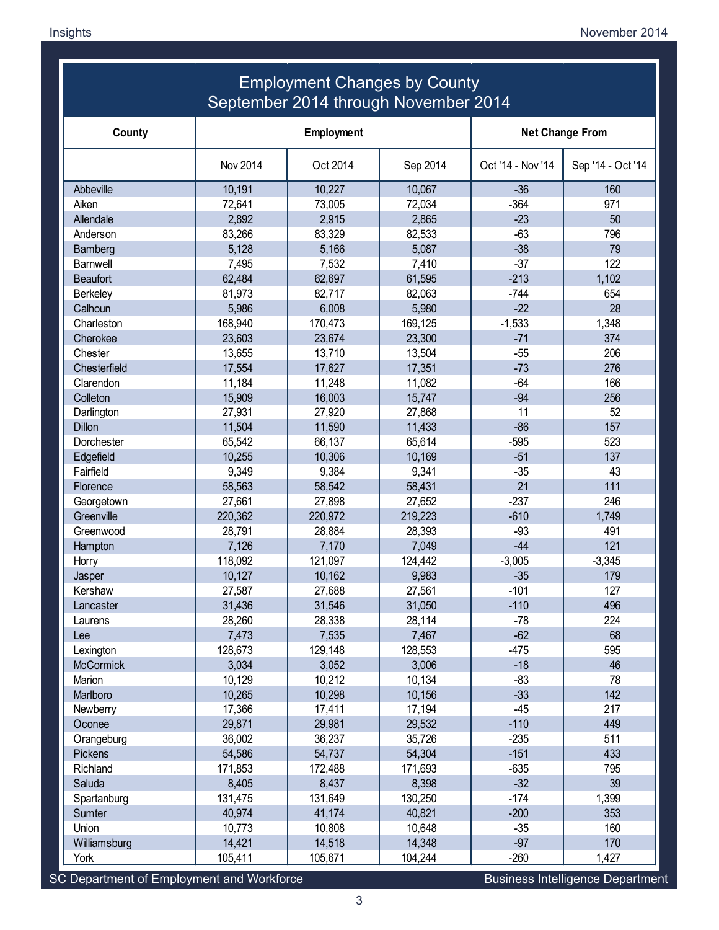#### **Employment Changes by County** September 2014 through November 2014 Employment Changes by County September 2014 through November 2014

| County           | Employment |          |          | <b>Net Change From</b> |                   |
|------------------|------------|----------|----------|------------------------|-------------------|
|                  | Nov 2014   | Oct 2014 | Sep 2014 | Oct '14 - Nov '14      | Sep '14 - Oct '14 |
| Abbeville        | 10,191     | 10,227   | 10,067   | $-36$                  | 160               |
| Aiken            | 72,641     | 73,005   | 72,034   | $-364$                 | 971               |
| Allendale        | 2,892      | 2,915    | 2,865    | $-23$                  | 50                |
| Anderson         | 83,266     | 83,329   | 82,533   | $-63$                  | 796               |
| Bamberg          | 5,128      | 5,166    | 5,087    | $-38$                  | 79                |
| <b>Barnwell</b>  | 7,495      | 7,532    | 7,410    | $-37$                  | 122               |
| <b>Beaufort</b>  | 62,484     | 62,697   | 61,595   | $-213$                 | 1,102             |
| <b>Berkeley</b>  | 81,973     | 82,717   | 82,063   | $-744$                 | 654               |
| Calhoun          | 5,986      | 6,008    | 5,980    | $-22$                  | 28                |
| Charleston       | 168,940    | 170,473  | 169,125  | $-1,533$               | 1,348             |
| Cherokee         | 23,603     | 23,674   | 23,300   | $-71$                  | 374               |
| Chester          | 13,655     | 13,710   | 13,504   | $-55$                  | 206               |
| Chesterfield     | 17,554     | 17,627   | 17,351   | $-73$                  | 276               |
| Clarendon        | 11,184     | 11,248   | 11,082   | $-64$                  | 166               |
| Colleton         | 15,909     | 16,003   | 15,747   | $-94$                  | 256               |
| Darlington       | 27,931     | 27,920   | 27,868   | 11                     | 52                |
| <b>Dillon</b>    | 11,504     | 11,590   | 11,433   | $-86$                  | 157               |
| Dorchester       | 65,542     | 66,137   | 65,614   | $-595$                 | 523               |
| Edgefield        | 10,255     | 10,306   | 10,169   | $-51$                  | 137               |
| Fairfield        | 9,349      | 9,384    | 9,341    | $-35$                  | 43                |
| Florence         | 58,563     | 58,542   | 58,431   | 21                     | 111               |
| Georgetown       | 27,661     | 27,898   | 27,652   | $-237$                 | 246               |
| Greenville       | 220,362    | 220,972  | 219,223  | $-610$                 | 1,749             |
| Greenwood        | 28,791     | 28,884   | 28,393   | $-93$                  | 491               |
| Hampton          | 7,126      | 7,170    | 7,049    | $-44$                  | 121               |
| Horry            | 118,092    | 121,097  | 124,442  | $-3,005$               | $-3,345$          |
| Jasper           | 10,127     | 10,162   | 9,983    | $-35$                  | 179               |
| Kershaw          | 27,587     | 27,688   | 27,561   | $-101$                 | 127               |
| Lancaster        | 31,436     | 31,546   | 31,050   | $-110$                 | 496               |
| Laurens          | 28,260     | 28,338   | 28,114   | $-78$                  | 224               |
| Lee              | 7,473      | 7,535    | 7,467    | $-62$                  | 68                |
| Lexington        | 128,673    | 129,148  | 128,553  | $-475$                 | 595               |
| <b>McCormick</b> | 3,034      | 3,052    | 3,006    | $-18$                  | 46                |
| Marion           | 10,129     | 10,212   | 10,134   | $-83$                  | 78                |
| Marlboro         | 10,265     | 10,298   | 10,156   | $-33$                  | 142               |
| Newberry         | 17,366     | 17,411   | 17,194   | $-45$                  | 217               |
| Oconee           | 29,871     | 29,981   | 29,532   | $-110$                 | 449               |
| Orangeburg       | 36,002     | 36,237   | 35,726   | $-235$                 | 511               |
| Pickens          | 54,586     | 54,737   | 54,304   | $-151$                 | 433               |
| Richland         | 171,853    | 172,488  | 171,693  | $-635$                 | 795               |
| Saluda           | 8,405      | 8,437    | 8,398    | $-32$                  | 39                |
| Spartanburg      | 131,475    | 131,649  | 130,250  | $-174$                 | 1,399             |
| Sumter           | 40,974     | 41,174   | 40,821   | $-200$                 | 353               |
| Union            | 10,773     | 10,808   | 10,648   | $-35$                  | 160               |
| Williamsburg     | 14,421     | 14,518   | 14,348   | $-97$                  | 170               |
| York             | 105,411    | 105,671  | 104,244  | $-260$                 | 1,427             |

SC Department of Employment and Workforce Business Intelligence Department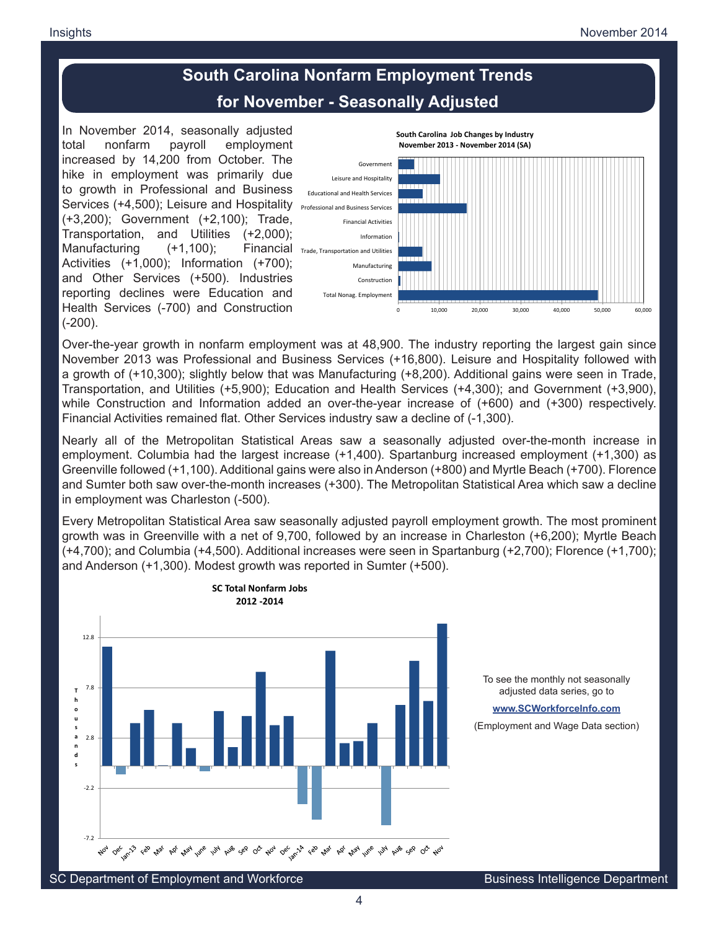# **South Carolina Nonfarm Employment Trends for November - Seasonally Adjusted**

In November 2014, seasonally adjusted total nonfarm payroll employment increased by 14,200 from October. The hike in employment was primarily due to growth in Professional and Business Services (+4,500); Leisure and Hospitality **Professional and Business Services** (+3,200); Government (+2,100); Trade, Transportation, and Utilities (+2,000); Manufacturing  $(+1,100)$ ; Activities (+1,000); Information (+700); and Other Services (+500). Industries reporting declines were Education and Health Services (-700) and Construction (-200).



Over-the-year growth in nonfarm employment was at 48,900. The industry reporting the largest gain since November 2013 was Professional and Business Services (+16,800). Leisure and Hospitality followed with a growth of (+10,300); slightly below that was Manufacturing (+8,200). Additional gains were seen in Trade, Transportation, and Utilities (+5,900); Education and Health Services (+4,300); and Government (+3,900), while Construction and Information added an over-the-year increase of (+600) and (+300) respectively. Financial Activities remained flat. Other Services industry saw a decline of (-1,300).

Nearly all of the Metropolitan Statistical Areas saw a seasonally adjusted over-the-month increase in employment. Columbia had the largest increase (+1,400). Spartanburg increased employment (+1,300) as Greenville followed (+1,100). Additional gains were also in Anderson (+800) and Myrtle Beach (+700). Florence and Sumter both saw over-the-month increases (+300). The Metropolitan Statistical Area which saw a decline in employment was Charleston (-500).

Every Metropolitan Statistical Area saw seasonally adjusted payroll employment growth. The most prominent growth was in Greenville with a net of 9,700, followed by an increase in Charleston (+6,200); Myrtle Beach (+4,700); and Columbia (+4,500). Additional increases were seen in Spartanburg (+2,700); Florence (+1,700); and Anderson (+1,300). Modest growth was reported in Sumter (+500).



4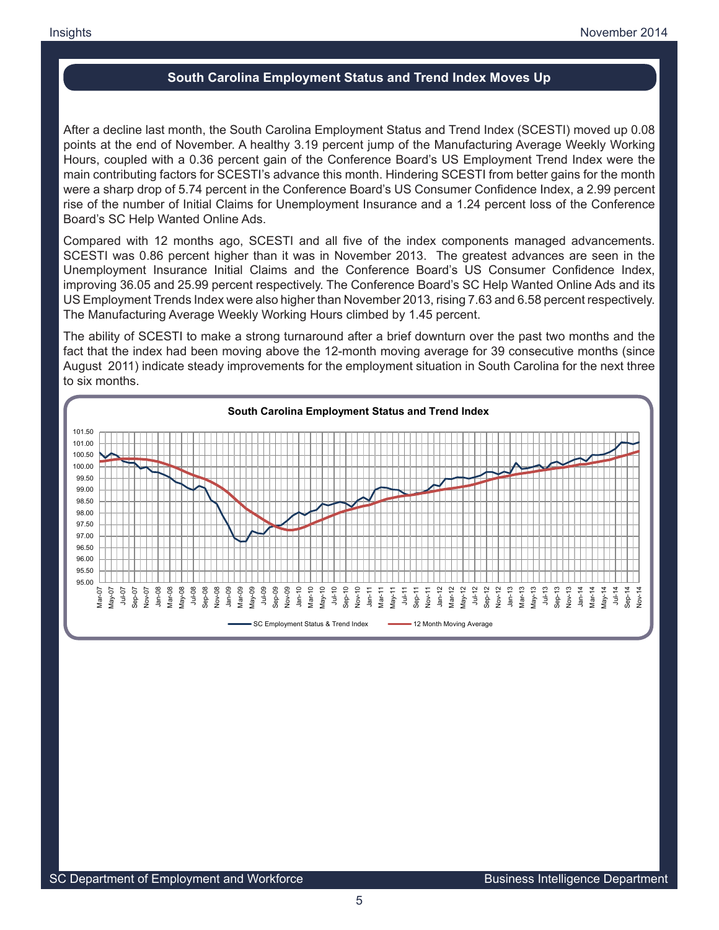## **South Carolina Employment Status and Trend Index Moves Up**

After a decline last month, the South Carolina Employment Status and Trend Index (SCESTI) moved up 0.08 points at the end of November. A healthy 3.19 percent jump of the Manufacturing Average Weekly Working Hours, coupled with a 0.36 percent gain of the Conference Board's US Employment Trend Index were the main contributing factors for SCESTI's advance this month. Hindering SCESTI from better gains for the month were a sharp drop of 5.74 percent in the Conference Board's US Consumer Confidence Index, a 2.99 percent rise of the number of Initial Claims for Unemployment Insurance and a 1.24 percent loss of the Conference Board's SC Help Wanted Online Ads.

Compared with 12 months ago, SCESTI and all five of the index components managed advancements. SCESTI was 0.86 percent higher than it was in November 2013. The greatest advances are seen in the Unemployment Insurance Initial Claims and the Conference Board's US Consumer Confidence Index, improving 36.05 and 25.99 percent respectively. The Conference Board's SC Help Wanted Online Ads and its US Employment Trends Index were also higher than November 2013, rising 7.63 and 6.58 percent respectively. The Manufacturing Average Weekly Working Hours climbed by 1.45 percent.

The ability of SCESTI to make a strong turnaround after a brief downturn over the past two months and the fact that the index had been moving above the 12-month moving average for 39 consecutive months (since August 2011) indicate steady improvements for the employment situation in South Carolina for the next three to six months.